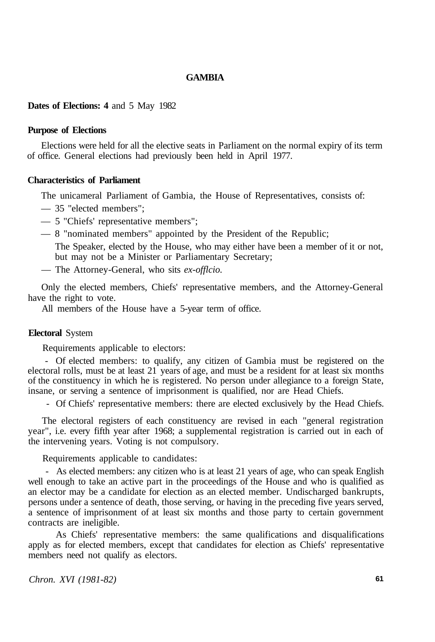# **GAMBIA**

## **Dates of Elections: 4** and 5 May 1982

#### **Purpose of Elections**

Elections were held for all the elective seats in Parliament on the normal expiry of its term of office. General elections had previously been held in April 1977.

# **Characteristics of Parliament**

The unicameral Parliament of Gambia, the House of Representatives, consists of:

- 35 "elected members";
- 5 "Chiefs' representative members";
- 8 "nominated members" appointed by the President of the Republic;

The Speaker, elected by the House, who may either have been a member of it or not, but may not be a Minister or Parliamentary Secretary;

— The Attorney-General, who sits *ex-offlcio.* 

Only the elected members, Chiefs' representative members, and the Attorney-General have the right to vote.

All members of the House have a 5-year term of office.

#### **Electoral** System

Requirements applicable to electors:

- Of elected members: to qualify, any citizen of Gambia must be registered on the electoral rolls, must be at least 21 years of age, and must be a resident for at least six months of the constituency in which he is registered. No person under allegiance to a foreign State, insane, or serving a sentence of imprisonment is qualified, nor are Head Chiefs.

- Of Chiefs' representative members: there are elected exclusively by the Head Chiefs.

The electoral registers of each constituency are revised in each "general registration year", i.e. every fifth year after 1968; a supplemental registration is carried out in each of the intervening years. Voting is not compulsory.

Requirements applicable to candidates:

- As elected members: any citizen who is at least 21 years of age, who can speak English well enough to take an active part in the proceedings of the House and who is qualified as an elector may be a candidate for election as an elected member. Undischarged bankrupts, persons under a sentence of death, those serving, or having in the preceding five years served, a sentence of imprisonment of at least six months and those party to certain government contracts are ineligible.

As Chiefs' representative members: the same qualifications and disqualifications apply as for elected members, except that candidates for election as Chiefs' representative members need not qualify as electors.

*Chron. XVI (1981-82)* **61**